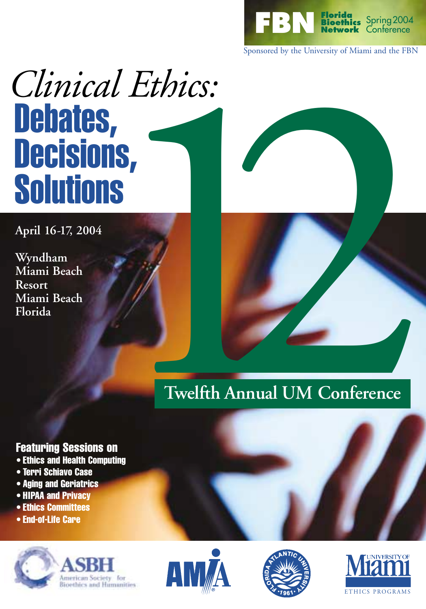

Sponsored by the University of Miami and the FBN

# *Clinical Ethics:* Debates, Decisions, **Solutions**

**April 16-17, 2004**

**Wyndham Miami Beach Resort Miami Beach Florida**



# **Twelfth Annual UM Conference**

# Featuring Sessions on

- Ethics and Health Computing
- Terri Schiavo Case
- Aging and Geriatrics
- HIPAA and Privacy
- Ethics Committees
- End-of-Life Care







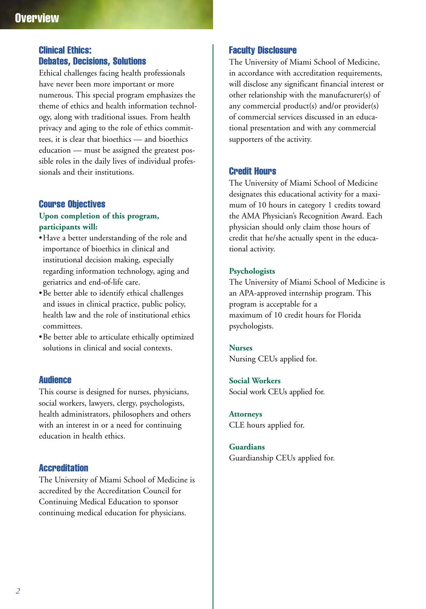# **Overview**

#### Clinical Ethics: Debates, Decisions, Solutions

Ethical challenges facing health professionals have never been more important or more numerous. This special program emphasizes the theme of ethics and health information technology, along with traditional issues. From health privacy and aging to the role of ethics committees, it is clear that bioethics — and bioethics education — must be assigned the greatest possible roles in the daily lives of individual professionals and their institutions.

#### Course Objectives

#### **Upon completion of this program, participants will:**

- •Have a better understanding of the role and importance of bioethics in clinical and institutional decision making, especially regarding information technology, aging and geriatrics and end-of-life care.
- •Be better able to identify ethical challenges and issues in clinical practice, public policy, health law and the role of institutional ethics committees.
- •Be better able to articulate ethically optimized solutions in clinical and social contexts.

#### **Audience**

This course is designed for nurses, physicians, social workers, lawyers, clergy, psychologists, health administrators, philosophers and others with an interest in or a need for continuing education in health ethics.

#### **Accreditation**

The University of Miami School of Medicine is accredited by the Accreditation Council for Continuing Medical Education to sponsor continuing medical education for physicians.

#### Faculty Disclosure

The University of Miami School of Medicine, in accordance with accreditation requirements, will disclose any significant financial interest or other relationship with the manufacturer(s) of any commercial product(s) and/or provider(s) of commercial services discussed in an educational presentation and with any commercial supporters of the activity.

#### Credit Hours

The University of Miami School of Medicine designates this educational activity for a maximum of 10 hours in category 1 credits toward the AMA Physician's Recognition Award. Each physician should only claim those hours of credit that he/she actually spent in the educational activity.

#### **Psychologists**

The University of Miami School of Medicine is an APA-approved internship program. This program is acceptable for a maximum of 10 credit hours for Florida psychologists.

#### **Nurses**

Nursing CEUs applied for.

**Social Workers** Social work CEUs applied for.

**Attorneys** CLE hours applied for.

### **Guardians**

Guardianship CEUs applied for.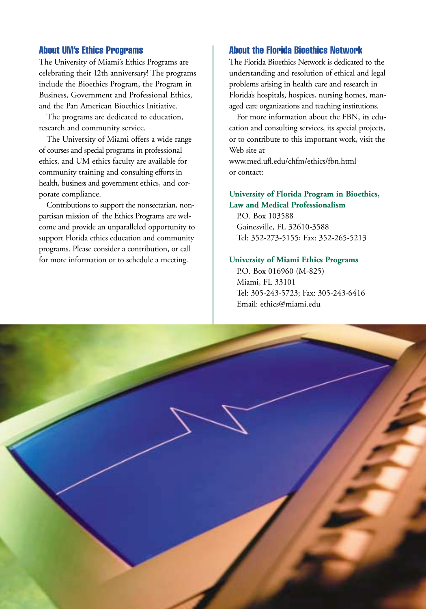#### About UM's Ethics Programs

The University of Miami's Ethics Programs are celebrating their 12th anniversary! The programs include the Bioethics Program, the Program in Business, Government and Professional Ethics, and the Pan American Bioethics Initiative.

The programs are dedicated to education, research and community service.

The University of Miami offers a wide range of courses and special programs in professional ethics, and UM ethics faculty are available for community training and consulting efforts in health, business and government ethics, and corporate compliance.

Contributions to support the nonsectarian, nonpartisan mission of the Ethics Programs are welcome and provide an unparalleled opportunity to support Florida ethics education and community programs. Please consider a contribution, or call for more information or to schedule a meeting.

#### About the Florida Bioethics Network

The Florida Bioethics Network is dedicated to the understanding and resolution of ethical and legal problems arising in health care and research in Florida's hospitals, hospices, nursing homes, managed care organizations and teaching institutions.

For more information about the FBN, its education and consulting services, its special projects, or to contribute to this important work, visit the Web site at

www.med.ufl.edu/chfm/ethics/fbn.html or contact:

#### **University of Florida Program in Bioethics, Law and Medical Professionalism**

P.O. Box 103588 Gainesville, FL 32610-3588 Tel: 352-273-5155; Fax: 352-265-5213

#### **University of Miami Ethics Programs**

P.O. Box 016960 (M-825) Miami, FL 33101 Tel: 305-243-5723; Fax: 305-243-6416 Email: ethics@miami.edu

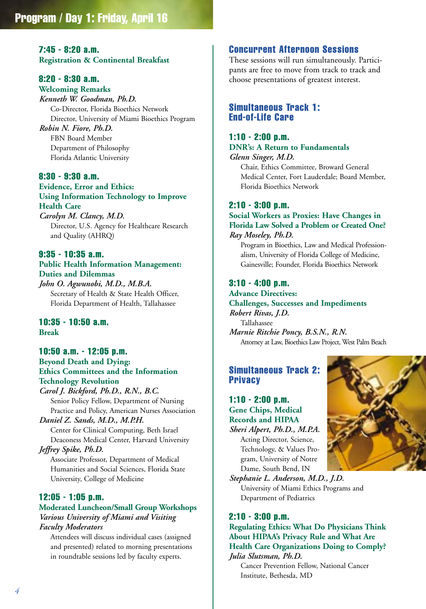# 7:45 - 8:20 a.m.

**Registration & Continental Breakfast**

#### 8:20 - 8:30 a.m.

**Welcoming Remarks** *Kenneth W. Goodman, Ph.D.* Co-Director, Florida Bioethics Network Director, University of Miami Bioethics Program

*Robin N. Fiore, Ph.D.* FBN Board Member Department of Philosophy Florida Atlantic University

#### 8:30 - 9:30 a.m.

**Evidence, Error and Ethics: Using Information Technology to Improve Health Care** *Carolyn M. Clancy, M.D.*

Director, U.S. Agency for Healthcare Research and Quality (AHRQ)

#### 9:35 - 10:35 a.m.

**Public Health Information Management: Duties and Dilemmas**

*John O. Agwunobi, M.D., M.B.A.* Secretary of Health & State Health Officer, Florida Department of Health, Tallahassee

#### 10:35 - 10:50 a.m. **Break**

#### 10:50 a.m. - 12:05 p.m. **Beyond Death and Dying: Ethics Committees and the Information Technology Revolution**

*Carol J. Bickford, Ph.D., R.N., B.C.* Senior Policy Fellow, Department of Nursing Practice and Policy, American Nurses Association *Daniel Z. Sands, M.D., M.P.H.*

Center for Clinical Computing, Beth Israel Deaconess Medical Center, Harvard University *Jeffrey Spike, Ph.D.*

Associate Professor, Department of Medical Humanities and Social Sciences, Florida State University, College of Medicine

#### 12:05 - 1:05 p.m.

#### **Moderated Luncheon/Small Group Workshops** *Various University of Miami and Visiting Faculty Moderators*

Attendees will discuss individual cases (assigned and presented) related to morning presentations in roundtable sessions led by faculty experts.

#### Concurrent Afternoon Sessions

These sessions will run simultaneously. Participants are free to move from track to track and choose presentations of greatest interest.

#### Simultaneous Track 1: End-of-Life Care

#### 1:10 - 2:00 p.m.

**DNR's: A Return to Fundamentals** *Glenn Singer, M.D.*

Chair, Ethics Committee, Broward General Medical Center, Fort Lauderdale; Board Member, Florida Bioethics Network

#### 2:10 - 3:00 p.m.

#### **Social Workers as Proxies: Have Changes in Florida Law Solved a Problem or Created One?** *Ray Moseley, Ph.D.*

Program in Bioethics, Law and Medical Professionalism, University of Florida College of Medicine, Gainesville; Founder, Florida Bioethics Network

#### 3:10 - 4:00 p.m.

#### **Advance Directives:**

**Challenges, Successes and Impediments** *Robert Rivas, J.D.* Tallahassee *Marnie Ritchie Poncy, B.S.N., R.N.* Attorney at Law, Bioethics Law Project, West Palm Beach

#### Simultaneous Track 2: Privacy

1:10 - 2:00 p.m. **Gene Chips, Medical Records and HIPAA** *Sheri Alpert, Ph.D., M.P.A.* Acting Director, Science, Technology, & Values Pro-

gram, University of Notre Dame, South Bend, IN *Stephanie L. Anderson, M.D., J.D.* University of Miami Ethics Programs and Department of Pediatrics

#### 2:10 - 3:00 p.m.

#### **Regulating Ethics: What Do Physicians Think About HIPAA's Privacy Rule and What Are Health Care Organizations Doing to Comply?** *Julia Slutsman, Ph.D.*

Cancer Prevention Fellow, National Cancer Institute, Bethesda, MD

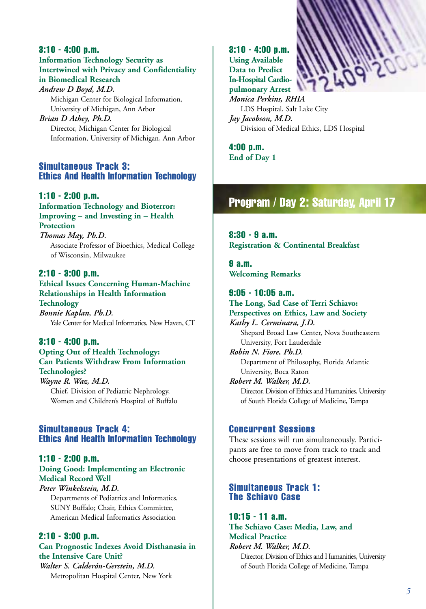#### 3:10 - 4:00 p.m. **Information Technology Security as Intertwined with Privacy and Confidentiality in Biomedical Research**

*Andrew D Boyd, M.D.* Michigan Center for Biological Information, University of Michigan, Ann Arbor *Brian D Athey, Ph.D.* Director, Michigan Center for Biological

Information, University of Michigan, Ann Arbor

#### Simultaneous Track 3: Ethics And Health Information Technology

#### 1:10 - 2:00 p.m.

**Information Technology and Bioterror: Improving – and Investing in – Health Protection** *Thomas May, Ph.D.* Associate Professor of Bioethics, Medical College of Wisconsin, Milwaukee

#### 2:10 - 3:00 p.m.

**Ethical Issues Concerning Human-Machine Relationships in Health Information Technology** *Bonnie Kaplan, Ph.D.* Yale Center for Medical Informatics, New Haven, CT

3:10 - 4:00 p.m. **Opting Out of Health Technology: Can Patients Withdraw From Information Technologies?** *Wayne R. Waz, M.D.* Chief, Division of Pediatric Nephrology,

# Women and Children's Hospital of Buffalo

#### Simultaneous Track 4: Ethics And Health Information Technology

#### 1:10 - 2:00 p.m. **Doing Good: Implementing an Electronic Medical Record Well**

*Peter Winkelstein, M.D.* Departments of Pediatrics and Informatics, SUNY Buffalo; Chair, Ethics Committee, American Medical Informatics Association

#### 2:10 - 3:00 p.m.

**Can Prognostic Indexes Avoid Disthanasia in the Intensive Care Unit?** *Walter S. Calderón-Gerstein, M.D.* Metropolitan Hospital Center, New York

3:10 - 4:00 p.m. **Using Available Data to Predict In-Hospital Cardiopulmonary Arrest** *Monica Perkins, RHIA* LDS Hospital, Salt Lake City *Jay Jacobson, M.D.* Division of Medical Ethics, LDS Hospital

4:00 p.m. **End of Day 1**

# Program / Day 2: Saturday, April 17

8:30 - 9 a.m. **Registration & Continental Breakfast**

9 a.m. **Welcoming Remarks**

9:05 - 10:05 a.m. **The Long, Sad Case of Terri Schiavo: Perspectives on Ethics, Law and Society** *Kathy L. Cerminara, J.D.* Shepard Broad Law Center, Nova Southeastern University, Fort Lauderdale *Robin N. Fiore, Ph.D.* Department of Philosophy, Florida Atlantic University, Boca Raton *Robert M. Walker, M.D.* Director, Division of Ethics and Humanities, University of South Florida College of Medicine, Tampa

#### Concurrent Sessions

These sessions will run simultaneously. Participants are free to move from track to track and choose presentations of greatest interest.

#### Simultaneous Track 1: The Schiavo Case

10:15 - 11 a.m. **The Schiavo Case: Media, Law, and Medical Practice** *Robert M. Walker, M.D.* Director, Division of Ethics and Humanities, University of South Florida College of Medicine, Tampa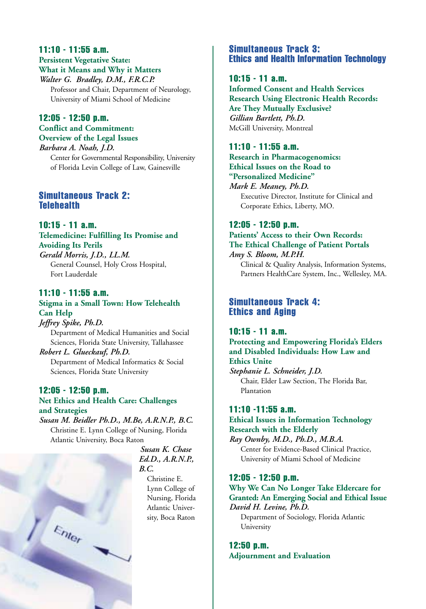#### 11:10 - 11:55 a.m. **Persistent Vegetative State: What it Means and Why it Matters** *Walter G. Bradley, D.M., F.R.C.P.*

Professor and Chair, Department of Neurology, University of Miami School of Medicine

#### 12:05 - 12:50 p.m. **Conflict and Commitment: Overview of the Legal Issues**

*Barbara A. Noah, J.D.* Center for Governmental Responsibility, University of Florida Levin College of Law, Gainesville

#### Simultaneous Track 2: **Telehealth**

#### 10:15 - 11 a.m. **Telemedicine: Fulfilling Its Promise and Avoiding Its Perils**

*Gerald Morris, J.D., LL.M.* General Counsel, Holy Cross Hospital, Fort Lauderdale

#### 11:10 - 11:55 a.m.

#### **Stigma in a Small Town: How Telehealth Can Help**

*Jeffrey Spike, Ph.D.* Department of Medical Humanities and Social Sciences, Florida State University, Tallahassee *Robert L. Glueckauf, Ph.D.* Department of Medical Informatics & Social Sciences, Florida State University

#### 12:05 - 12:50 p.m. **Net Ethics and Health Care: Challenges and Strategies**

*Susan M. Beidler Ph.D., M.Be, A.R.N.P., B.C.*  Christine E. Lynn College of Nursing, Florida Atlantic University, Boca Raton



*Susan K. Chase Ed.D., A.R.N.P., B.C.*

> Christine E. Lynn College of Nursing, Florida Atlantic University, Boca Raton

#### Simultaneous Track 3: Ethics and Health Information Technology

#### 10:15 - 11 a.m.

**Informed Consent and Health Services Research Using Electronic Health Records: Are They Mutually Exclusive?** *Gillian Bartlett, Ph.D.* McGill University, Montreal

#### 11:10 - 11:55 a.m.

**Research in Pharmacogenomics: Ethical Issues on the Road to "Personalized Medicine"**

*Mark E. Meaney, Ph.D.* Executive Director, Institute for Clinical and Corporate Ethics, Liberty, MO.

#### 12:05 - 12:50 p.m.

**Patients' Access to their Own Records: The Ethical Challenge of Patient Portals** *Amy S. Bloom, M.P.H.*

Clinical & Quality Analysis, Information Systems, Partners HealthCare System, Inc., Wellesley, MA.

#### Simultaneous Track 4: Ethics and Aging

#### 10:15 - 11 a.m.

**Protecting and Empowering Florida's Elders and Disabled Individuals: How Law and Ethics Unite**

*Stephanie L. Schneider, J.D.* Chair, Elder Law Section, The Florida Bar, Plantation

#### 11:10 -11:55 a.m.

**Ethical Issues in Information Technology Research with the Elderly** *Ray Ownby, M.D., Ph.D., M.B.A.*

Center for Evidence-Based Clinical Practice, University of Miami School of Medicine

#### 12:05 - 12:50 p.m.

#### **Why We Can No Longer Take Eldercare for Granted: An Emerging Social and Ethical Issue** *David H. Levine, Ph.D.*

Department of Sociology, Florida Atlantic University

12:50 p.m. **Adjournment and Evaluation**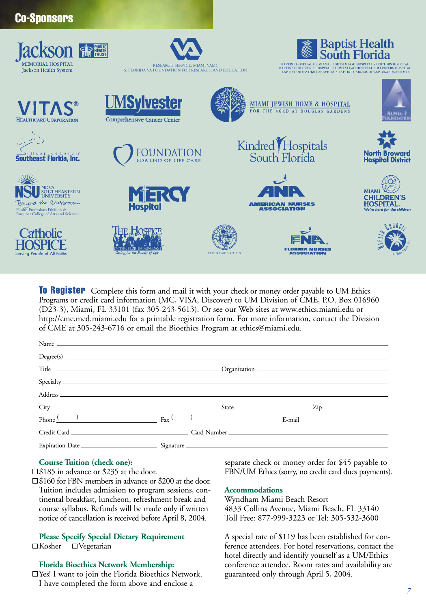| <b>UU UHUIIUUI U</b>                                                                                                                 |                                                                                     |                                                                                                                                                                                                                   |                                                                                      |
|--------------------------------------------------------------------------------------------------------------------------------------|-------------------------------------------------------------------------------------|-------------------------------------------------------------------------------------------------------------------------------------------------------------------------------------------------------------------|--------------------------------------------------------------------------------------|
| <b>Jackson 金屬</b><br><b>MEMORIAL HOSPITAL</b><br><b>Jackson Health System</b>                                                        | RESEARCH SERVICE, MIAMI VAMC<br>S. FLORIDA VA FOUNDATION FOR RESEARCH AND EDUCATION | BAPTIST HOSPITAL OF MIAMI . SOUTH MIAMI HOSPITAL . DOCTORS HOSPITAL<br>BAPTIST CHILDREN'S HOSPITAL . HOMESTEAD HOSPITAL . MARINERS HOSPITAL<br>BAPTIST OUTPATIENT SERVICES . BAPTIST CARDIAC & VASCULAR INSTITUTE | <b>Baptist Health</b><br>South Florida                                               |
| <b>VITAS®</b><br><b>HEALTHCARE CORPORATION</b>                                                                                       | <b>UMSylvester</b><br><b>Comprehensive Cancer Center</b>                            | MIAMI JEWISH HOME & HOSPITAL FOR THE AGED AT DOUGLAS GARDENS                                                                                                                                                      |                                                                                      |
| <b>Southeast Florida, Inc.</b>                                                                                                       | FOUNDATION                                                                          | Kindred Hospitals<br>South Florida                                                                                                                                                                                | <b>North Broward</b><br>Hospital District                                            |
| NOVA<br>SOUTHEASTERN<br>UNIVERSITY<br>Beyond the Classroom<br>Health Professions Division &<br>Farquhar College of Arts and Sciences | <b>MERCY</b>                                                                        | <b>NIA</b><br><b>AMERICAN NURSES</b><br><b>ASSOCIATION</b>                                                                                                                                                        | <b>MIAMI</b><br><b>CHILDREN'S</b><br><b>HOSPITAL.</b><br>We're here for the children |
| <b>Tatholic</b><br>Serving People of All Faiths                                                                                      |                                                                                     | <b>FLORIDA NIIRSES</b><br><b>ASSOCIATION</b><br><b>ELDER LAW SECTION</b>                                                                                                                                          | $\mathcal{W}(\mathcal{U})$                                                           |

**To Register** Complete this form and mail it with your check or money order payable to UM Ethics Programs or credit card information (MC, VISA, Discover) to UM Division of CME, P.O. Box 016960 (D23-3), Miami, FL 33101 (fax 305-243-5613). Or see our Web sites at www.ethics.miami.edu or http://cme.med.miami.edu for a printable registration form. For more information, contact the Division of CME at 305-243-6716 or email the Bioethics Program at ethics@miami.edu.

| Name $\Box$                                                                                                                                                                                                                    |  |  |
|--------------------------------------------------------------------------------------------------------------------------------------------------------------------------------------------------------------------------------|--|--|
|                                                                                                                                                                                                                                |  |  |
|                                                                                                                                                                                                                                |  |  |
|                                                                                                                                                                                                                                |  |  |
| Address experiences and the contract of the contract of the contract of the contract of the contract of the contract of the contract of the contract of the contract of the contract of the contract of the contract of the co |  |  |
|                                                                                                                                                                                                                                |  |  |
| Phone $\frac{(x-1)^2}{2}$ Fax $\frac{(x-1)^2}{2}$ Fax $\frac{(x-1)^2}{2}$ E-mail $\frac{(x-1)^2}{2}$                                                                                                                           |  |  |
|                                                                                                                                                                                                                                |  |  |
|                                                                                                                                                                                                                                |  |  |

#### **Course Tuition (check one):**

Co-Snoneone

 $\square$ \$185 in advance or \$235 at the door.

□ \$160 for FBN members in advance or \$200 at the door. Tuition includes admission to program sessions, continental breakfast, luncheon, refreshment break and course syllabus. Refunds will be made only if written notice of cancellation is received before April 8, 2004.

**Please Specify Special Dietary Requirement**  $\Box$ Kosher  $\Box$ Vegetarian

#### **Florida Bioethics Network Membership:**

Yes! I want to join the Florida Bioethics Network. I have completed the form above and enclose a

separate check or money order for \$45 payable to FBN/UM Ethics (sorry, no credit card dues payments).

#### **Accommodations**

Wyndham Miami Beach Resort 4833 Collins Avenue, Miami Beach, FL 33140 Toll Free: 877-999-3223 or Tel: 305-532-3600

A special rate of \$119 has been established for conference attendees. For hotel reservations, contact the hotel directly and identify yourself as a UM/Ethics conference attendee. Room rates and availability are guaranteed only through April 5, 2004.